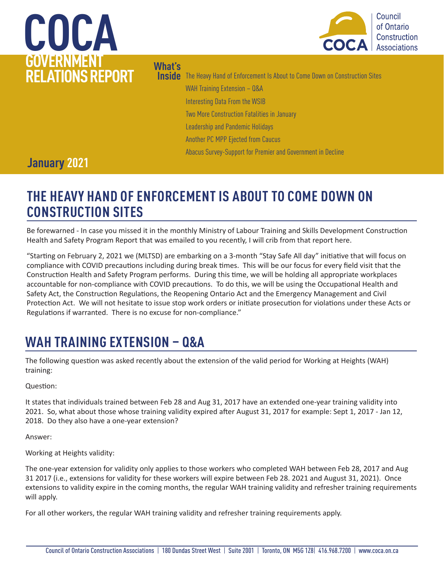# **COCA GOVERNMENT RELATIONS REPORT**



### **What's**

**Inside** The Heavy Hand of Enforcement Is About to Come Down on Construction Sites WAH Training Extension – Q&A Interesting Data From the WSIB Two More Construction Fatalities in January Leadership and Pandemic Holidays

Another PC MPP Ejected from Caucus

Abacus Survey-Support for Premier and Government in Decline

### **January 2021**

## **THE HEAVY HAND OF ENFORCEMENT IS ABOUT TO COME DOWN ON CONSTRUCTION SITES**

Be forewarned - In case you missed it in the monthly Ministry of Labour Training and Skills Development Construction Health and Safety Program Report that was emailed to you recently, I will crib from that report here.

"Starting on February 2, 2021 we (MLTSD) are embarking on a 3-month "Stay Safe All day" initiative that will focus on compliance with COVID precautions including during break times. This will be our focus for every field visit that the Construction Health and Safety Program performs. During this time, we will be holding all appropriate workplaces accountable for non-compliance with COVID precautions. To do this, we will be using the Occupational Health and Safety Act, the Construction Regulations, the Reopening Ontario Act and the Emergency Management and Civil Protection Act. We will not hesitate to issue stop work orders or initiate prosecution for violations under these Acts or Regulations if warranted. There is no excuse for non-compliance."

## **WAH TRAINING EXTENSION – Q&A**

The following question was asked recently about the extension of the valid period for Working at Heights (WAH) training:

Question:

It states that individuals trained between Feb 28 and Aug 31, 2017 have an extended one-year training validity into 2021. So, what about those whose training validity expired after August 31, 2017 for example: Sept 1, 2017 - Jan 12, 2018. Do they also have a one-year extension?

Answer:

Working at Heights validity:

The one-year extension for validity only applies to those workers who completed WAH between Feb 28, 2017 and Aug 31 2017 (i.e., extensions for validity for these workers will expire between Feb 28. 2021 and August 31, 2021). Once extensions to validity expire in the coming months, the regular WAH training validity and refresher training requirements will apply.

For all other workers, the regular WAH training validity and refresher training requirements apply.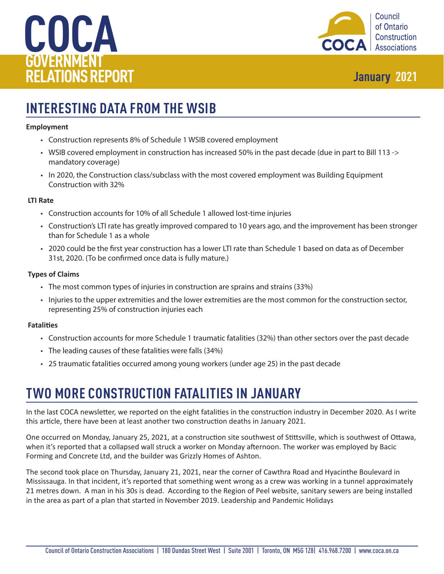



## **INTERESTING DATA FROM THE WSIB**

#### **Employment**

- Construction represents 8% of Schedule 1 WSIB covered employment
- WSIB covered employment in construction has increased 50% in the past decade (due in part to Bill 113 -> mandatory coverage)
- In 2020, the Construction class/subclass with the most covered employment was Building Equipment Construction with 32%

#### **LTI Rate**

- Construction accounts for 10% of all Schedule 1 allowed lost-time injuries
- Construction's LTI rate has greatly improved compared to 10 years ago, and the improvement has been stronger than for Schedule 1 as a whole
- 2020 could be the first year construction has a lower LTI rate than Schedule 1 based on data as of December 31st, 2020. (To be confirmed once data is fully mature.)

#### **Types of Claims**

- The most common types of injuries in construction are sprains and strains (33%)
- Injuries to the upper extremities and the lower extremities are the most common for the construction sector, representing 25% of construction injuries each

#### **Fatalities**

- Construction accounts for more Schedule 1 traumatic fatalities (32%) than other sectors over the past decade
- The leading causes of these fatalities were falls (34%)
- 25 traumatic fatalities occurred among young workers (under age 25) in the past decade

## **TWO MORE CONSTRUCTION FATALITIES IN JANUARY**

In the last COCA newsletter, we reported on the eight fatalities in the construction industry in December 2020. As I write this article, there have been at least another two construction deaths in January 2021.

One occurred on Monday, January 25, 2021, at a construction site southwest of Stittsville, which is southwest of Ottawa, when it's reported that a collapsed wall struck a worker on Monday afternoon. The worker was employed by Bacic Forming and Concrete Ltd, and the builder was Grizzly Homes of Ashton.

The second took place on Thursday, January 21, 2021, near the corner of Cawthra Road and Hyacinthe Boulevard in Mississauga. In that incident, it's reported that something went wrong as a crew was working in a tunnel approximately 21 metres down. A man in his 30s is dead. According to the Region of Peel website, sanitary sewers are being installed in the area as part of a plan that started in November 2019. Leadership and Pandemic Holidays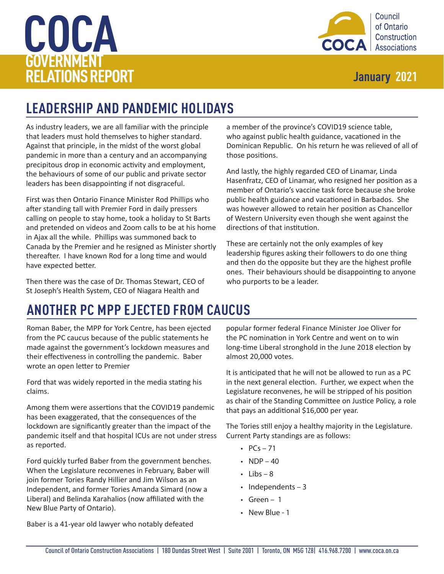# **COCA GOVERNMENT RELATIONS REPORT January 2021**



## **LEADERSHIP AND PANDEMIC HOLIDAYS**

As industry leaders, we are all familiar with the principle that leaders must hold themselves to higher standard. Against that principle, in the midst of the worst global pandemic in more than a century and an accompanying precipitous drop in economic activity and employment, the behaviours of some of our public and private sector leaders has been disappointing if not disgraceful.

First was then Ontario Finance Minister Rod Phillips who after standing tall with Premier Ford in daily pressers calling on people to stay home, took a holiday to St Barts and pretended on videos and Zoom calls to be at his home in Ajax all the while. Phillips was summoned back to Canada by the Premier and he resigned as Minister shortly thereafter. I have known Rod for a long time and would have expected better.

Then there was the case of Dr. Thomas Stewart, CEO of St Joseph's Health System, CEO of Niagara Health and

a member of the province's COVID19 science table, who against public health guidance, vacationed in the Dominican Republic. On his return he was relieved of all of those positions.

And lastly, the highly regarded CEO of Linamar, Linda Hasenfratz, CEO of Linamar, who resigned her position as a member of Ontario's vaccine task force because she broke public health guidance and vacationed in Barbados. She was however allowed to retain her position as Chancellor of Western University even though she went against the directions of that institution.

These are certainly not the only examples of key leadership figures asking their followers to do one thing and then do the opposite but they are the highest profile ones. Their behaviours should be disappointing to anyone who purports to be a leader.

## **ANOTHER PC MPP EJECTED FROM CAUCUS**

Roman Baber, the MPP for York Centre, has been ejected from the PC caucus because of the public statements he made against the government's lockdown measures and their effectiveness in controlling the pandemic. Baber wrote an open letter to Premier

Ford that was widely reported in the media stating his claims.

Among them were assertions that the COVID19 pandemic has been exaggerated, that the consequences of the lockdown are significantly greater than the impact of the pandemic itself and that hospital ICUs are not under stress as reported.

Ford quickly turfed Baber from the government benches. When the Legislature reconvenes in February, Baber will join former Tories Randy Hillier and Jim Wilson as an Independent, and former Tories Amanda Simard (now a Liberal) and Belinda Karahalios (now affiliated with the New Blue Party of Ontario).

popular former federal Finance Minister Joe Oliver for the PC nomination in York Centre and went on to win long-time Liberal stronghold in the June 2018 election by almost 20,000 votes.

It is anticipated that he will not be allowed to run as a PC in the next general election. Further, we expect when the Legislature reconvenes, he will be stripped of his position as chair of the Standing Committee on Justice Policy, a role that pays an additional \$16,000 per year.

The Tories still enjoy a healthy majority in the Legislature. Current Party standings are as follows:

- $PCs 71$
- $NDP 40$
- $\cdot$  Libs 8
- Independents 3
- Green 1
- New Blue 1

Baber is a 41-year old lawyer who notably defeated